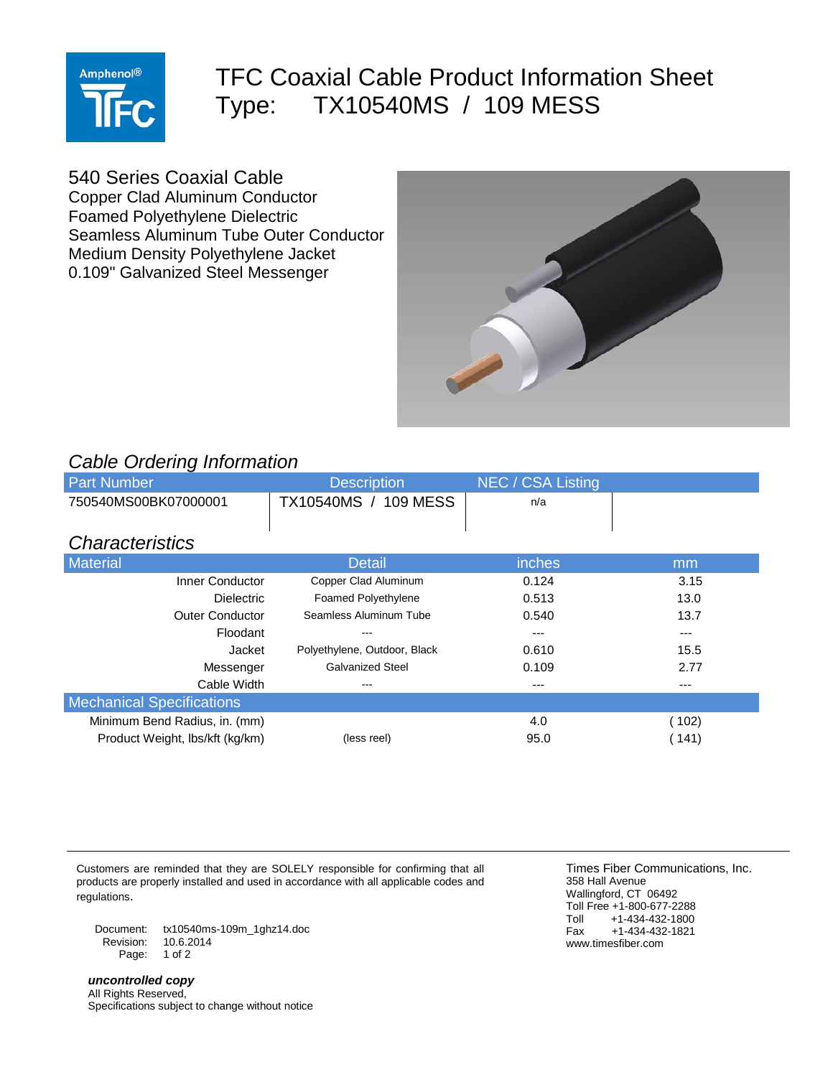

## TFC Coaxial Cable Product Information Sheet Type: TX10540MS / 109 MESS

540 Series Coaxial Cable

Copper Clad Aluminum Conductor Foamed Polyethylene Dielectric Seamless Aluminum Tube Outer Conductor Medium Density Polyethylene Jacket 0.109" Galvanized Steel Messenger



## *Cable Ordering Information*

| <b>Part Number</b>               | <b>Description</b>           | NEC / CSA Listing |         |
|----------------------------------|------------------------------|-------------------|---------|
| 750540MS00BK07000001             | TX10540MS / 109 MESS         | n/a               |         |
|                                  |                              |                   |         |
| <b>Characteristics</b>           |                              |                   |         |
| Material                         | <b>Detail</b>                | inches            | mm      |
| Inner Conductor                  | Copper Clad Aluminum         | 0.124             | 3.15    |
| <b>Dielectric</b>                | <b>Foamed Polyethylene</b>   | 0.513             | 13.0    |
| <b>Outer Conductor</b>           | Seamless Aluminum Tube       | 0.540             | 13.7    |
| Floodant                         |                              |                   | $- - -$ |
| Jacket                           | Polyethylene, Outdoor, Black | 0.610             | 15.5    |
| Messenger                        | <b>Galvanized Steel</b>      | 0.109             | 2.77    |
| Cable Width                      | ---                          | ---               | ---     |
| <b>Mechanical Specifications</b> |                              |                   |         |
| Minimum Bend Radius, in. (mm)    |                              | 4.0               | (102)   |
| Product Weight, Ibs/kft (kg/km)  | (less reel)                  | 95.0              | (141)   |

Customers are reminded that they are SOLELY responsible for confirming that all products are properly installed and used in accordance with all applicable codes and regulations.

Document: tx10540ms-109m\_1ghz14.doc Revision: 10.6.2014 Page: 1 of 2

*uncontrolled copy* All Rights Reserved, Specifications subject to change without notice

Times Fiber Communications, Inc. 358 Hall Avenue Wallingford, CT 06492 Toll Free +1-800-677-2288<br>Toll +1-434-432-1800 Toll +1-434-432-1800<br>Fax +1-434-432-1821  $+1-434-432-1821$ www.timesfiber.com